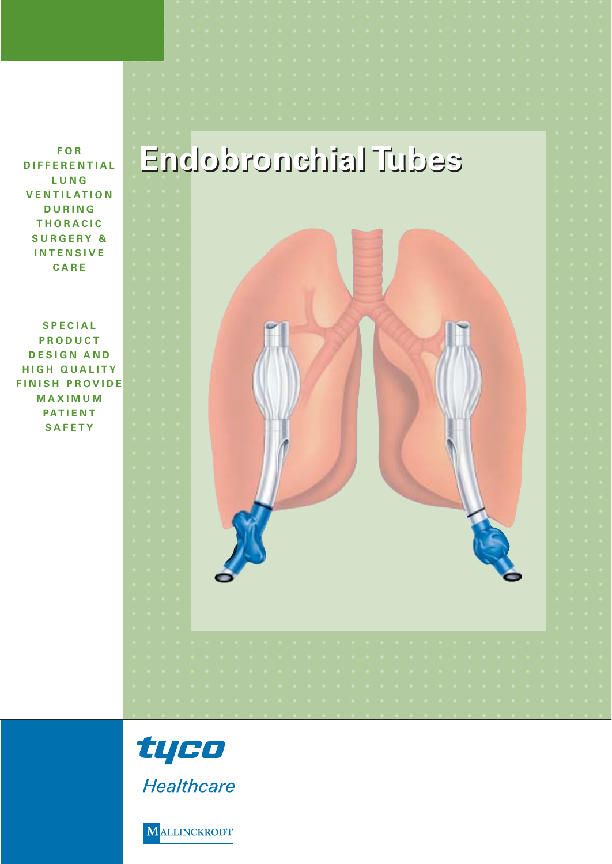# **Endobronchial Tubes Endobronchial Tubes**

**FOR DIFFERENTIAL LUNG VENTILATION DURING THORACIC SURGERY & INTENSIVE CARE**

**SPECIAL PRODUCT DESIGN AND HIGH QUALITY FINISH PROVIDE MAXIMUM PATIENT SAFETY**





MALLINCKRODT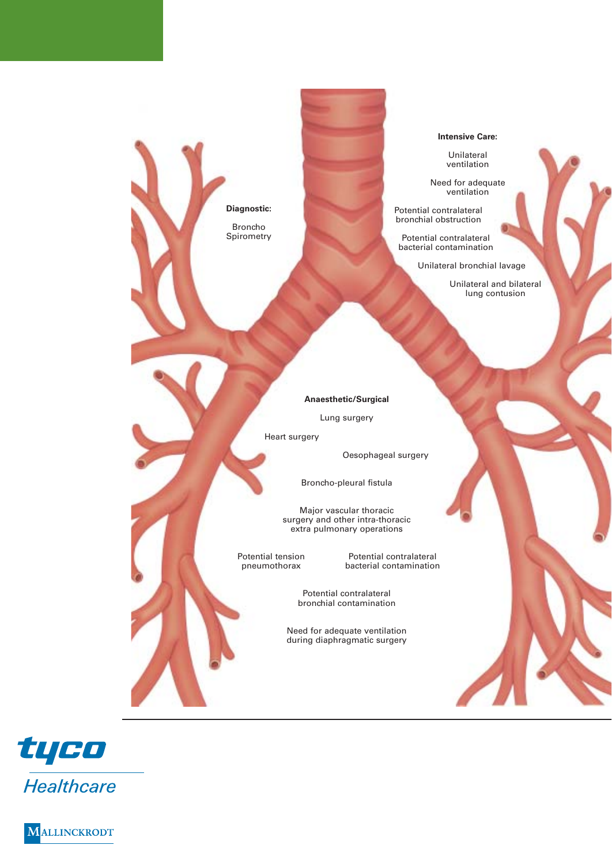**Diagnostic:** Broncho Spirometry

#### **Intensive Care:**

Unilateral ventilation

Need for adequate ventilation

Potential contralateral bronchial obstruction

Potential contralateral bacterial contamination

Unilateral bronchial lavage

Unilateral and bilateral lung contusion

**Anaesthetic/Surgical**

Lung surgery

Heart surgery

Oesophageal surgery

Broncho-pleural fistula

Major vascular thoracic surgery and other intra-thoracic extra pulmonary operations

Potential tension Potential contralateral<br>preumothorax bacterial contamination bacterial contamination

> Potential contralateral bronchial contamination

Need for adequate ventilation during diaphragmatic surgery



**ALLINCKRODT**  $\bf M$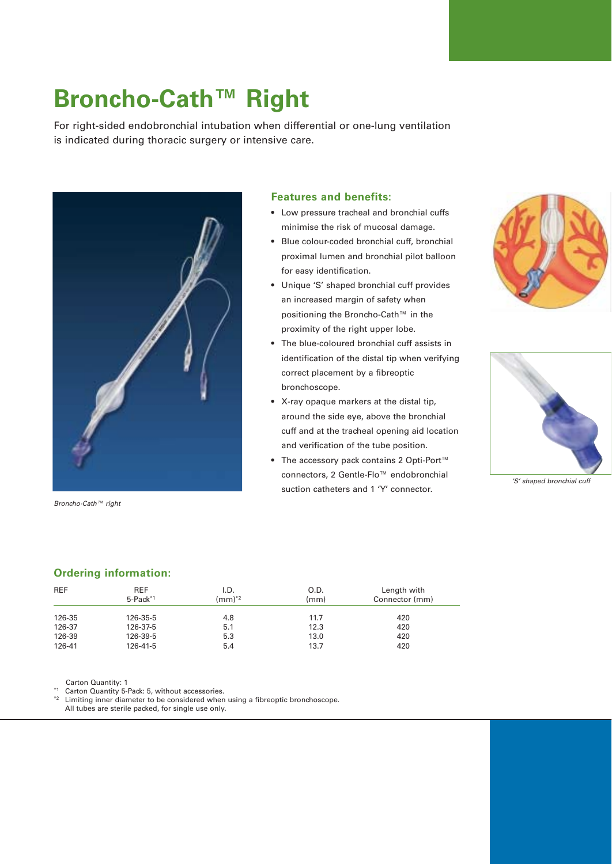# **Broncho-Cath™ Right**

For right-sided endobronchial intubation when differential or one-lung ventilation is indicated during thoracic surgery or intensive care.



*Broncho-Cath™ right*

### **Features and benefits:**

- Low pressure tracheal and bronchial cuffs minimise the risk of mucosal damage.
- Blue colour-coded bronchial cuff, bronchial proximal lumen and bronchial pilot balloon for easy identification.
- Unique 'S' shaped bronchial cuff provides an increased margin of safety when positioning the Broncho-Cath™ in the proximity of the right upper lobe.
- The blue-coloured bronchial cuff assists in identification of the distal tip when verifying correct placement by a fibreoptic bronchoscope.
- X-ray opaque markers at the distal tip, around the side eye, above the bronchial cuff and at the tracheal opening aid location and verification of the tube position.
- The accessory pack contains 2 Opti-Port™ connectors, 2 Gentle-Flo™ endobronchial suction catheters and 1 'Y' connector.





*'S' shaped bronchial cuff*

### **Ordering information:**

| <b>REF</b> | <b>REF</b><br>$5$ -Pack $*1$ | I.D.<br>$\text{m}^{\ast 2}$ | O.D.<br>(mm) | Length with<br>Connector (mm) |
|------------|------------------------------|-----------------------------|--------------|-------------------------------|
| 126-35     | 126-35-5                     | 4.8                         | 11.7         | 420                           |
| 126-37     | 126-37-5                     | 5.1                         | 12.3         | 420                           |
| 126-39     | 126-39-5                     | 5.3                         | 13.0         | 420                           |
| 126-41     | 126-41-5                     | 5.4                         | 13.7         | 420                           |

Carton Quantity: 1

\*1 Carton Quantity 5-Pack: 5, without accessories.<br>\*2 Limiting inner diameter to be considered when

Limiting inner diameter to be considered when using a fibreoptic bronchoscope. All tubes are sterile packed, for single use only.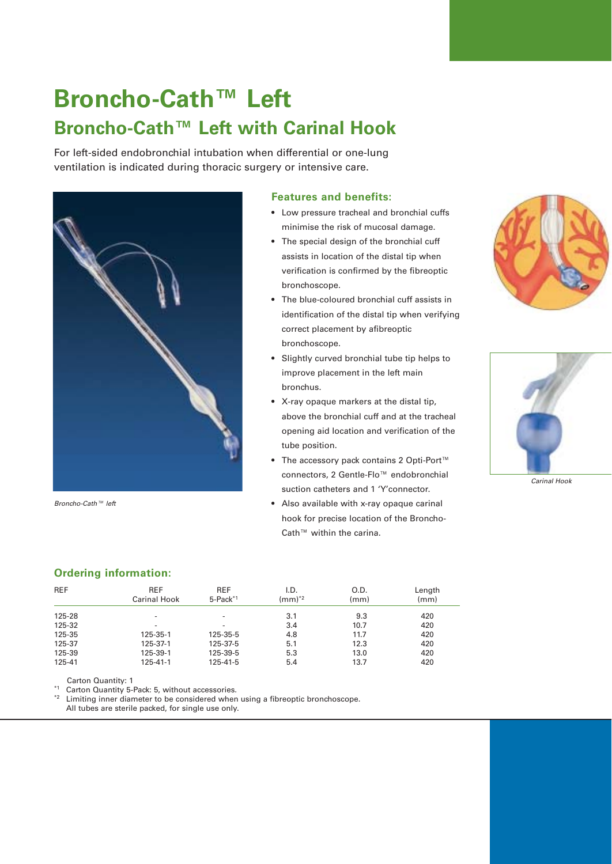# **Broncho-Cath™ Left Broncho-Cath™ Left with Carinal Hook**

For left-sided endobronchial intubation when differential or one-lung ventilation is indicated during thoracic surgery or intensive care.



*Broncho-Cath™ left*

#### **Features and benefits:**

- Low pressure tracheal and bronchial cuffs minimise the risk of mucosal damage.
- The special design of the bronchial cuff assists in location of the distal tip when verification is confirmed by the fibreoptic bronchoscope.
- The blue-coloured bronchial cuff assists in identification of the distal tip when verifying correct placement by afibreoptic bronchoscope.
- Slightly curved bronchial tube tip helps to improve placement in the left main bronchus.
- X-ray opaque markers at the distal tip, above the bronchial cuff and at the tracheal opening aid location and verification of the tube position.
- The accessory pack contains 2 Opti-Port™ connectors, 2 Gentle-Flo™ endobronchial suction catheters and 1 'Y'connector.
- Also available with x-ray opaque carinal hook for precise location of the Broncho-Cath™ within the carina.





*Carinal Hook*

## **Ordering information:**

| <b>REF</b> | <b>REF</b><br><b>Carinal Hook</b> | <b>REF</b><br>5-Pack <sup>*1</sup> | I.D.<br>$(mm)^{*2}$ | O.D.<br>(mm) | Length<br>(mm) |
|------------|-----------------------------------|------------------------------------|---------------------|--------------|----------------|
| 125-28     | $\overline{\phantom{a}}$          | $\overline{\phantom{a}}$           | 3.1                 | 9.3          | 420            |
| 125-32     | $\overline{a}$                    | $\overline{\phantom{a}}$           | 3.4                 | 10.7         | 420            |
| 125-35     | 125-35-1                          | 125-35-5                           | 4.8                 | 11.7         | 420            |
| 125-37     | 125-37-1                          | 125-37-5                           | 5.1                 | 12.3         | 420            |
| 125-39     | 125-39-1                          | 125-39-5                           | 5.3                 | 13.0         | 420            |
| 125-41     | 125-41-1                          | 125-41-5                           | 5.4                 | 13.7         | 420            |

Carton Quantity: 1

\*1 Carton Quantity 5-Pack: 5, without accessories.

Limiting inner diameter to be considered when using a fibreoptic bronchoscope.

All tubes are sterile packed, for single use only.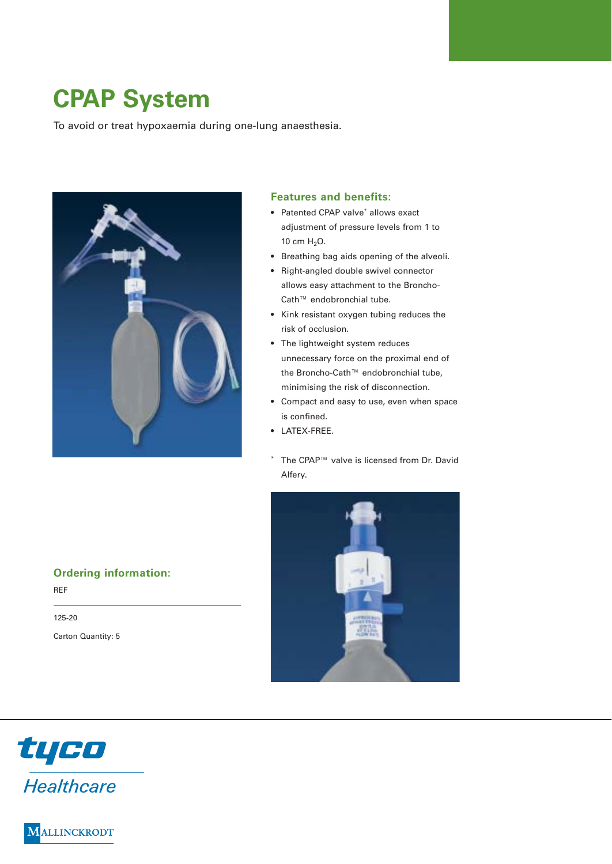# **CPAP System**

To avoid or treat hypoxaemia during one-lung anaesthesia.



### **Features and benefits:**

- Patented CPAP valve<sup>\*</sup> allows exact adjustment of pressure levels from 1 to 10 cm H<sub>2</sub>O.
- Breathing bag aids opening of the alveoli.
- Right-angled double swivel connector allows easy attachment to the Broncho-Cath™ endobronchial tube.
- Kink resistant oxygen tubing reduces the risk of occlusion.
- The lightweight system reduces unnecessary force on the proximal end of the Broncho-Cath™ endobronchial tube, minimising the risk of disconnection.
- Compact and easy to use, even when space is confined.
- LATEX-FREE.
- The CPAP™ valve is licensed from Dr. David Alfery.



## **Ordering information:**

REF 125-20 Carton Quantity: 5



**ALLINCKRODT** M